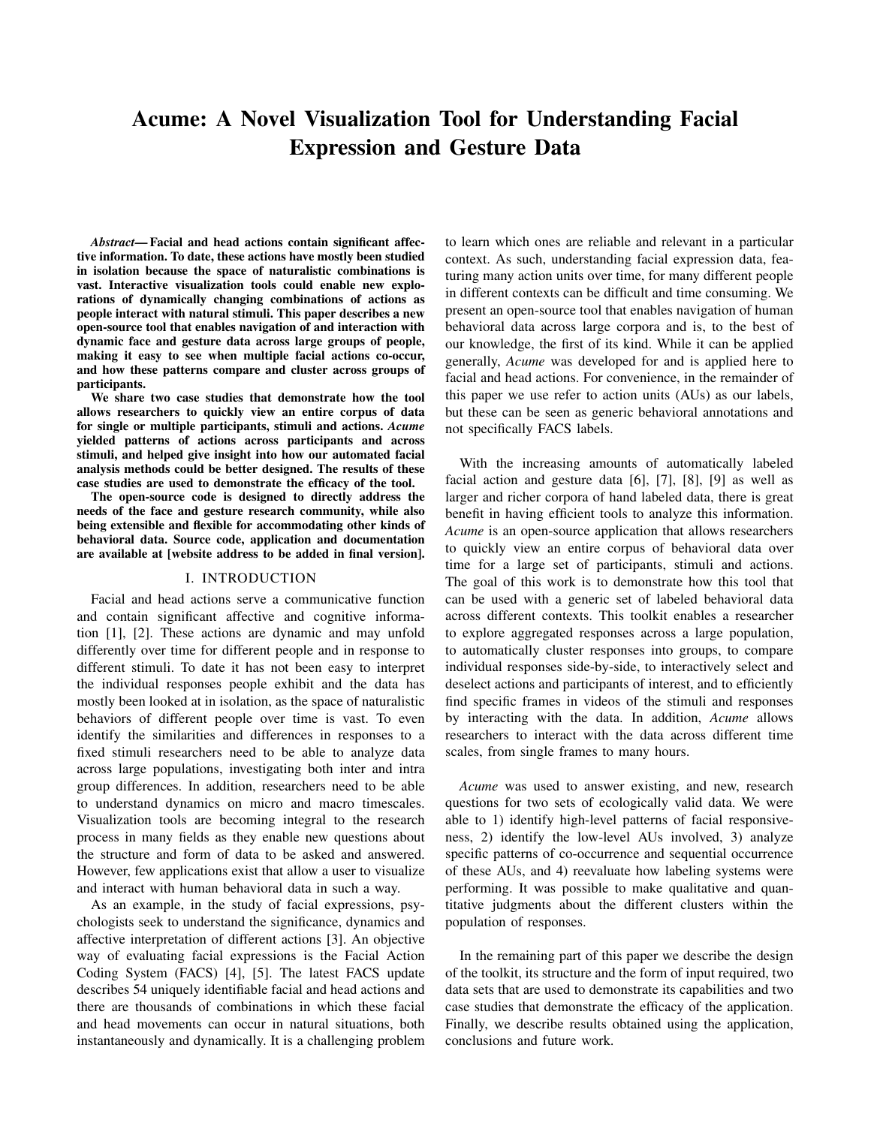# Acume: A Novel Visualization Tool for Understanding Facial Expression and Gesture Data

*Abstract*— Facial and head actions contain significant affective information. To date, these actions have mostly been studied in isolation because the space of naturalistic combinations is vast. Interactive visualization tools could enable new explorations of dynamically changing combinations of actions as people interact with natural stimuli. This paper describes a new open-source tool that enables navigation of and interaction with dynamic face and gesture data across large groups of people, making it easy to see when multiple facial actions co-occur, and how these patterns compare and cluster across groups of participants.

We share two case studies that demonstrate how the tool allows researchers to quickly view an entire corpus of data for single or multiple participants, stimuli and actions. *Acume* yielded patterns of actions across participants and across stimuli, and helped give insight into how our automated facial analysis methods could be better designed. The results of these case studies are used to demonstrate the efficacy of the tool.

The open-source code is designed to directly address the needs of the face and gesture research community, while also being extensible and flexible for accommodating other kinds of behavioral data. Source code, application and documentation are available at [website address to be added in final version].

## I. INTRODUCTION

Facial and head actions serve a communicative function and contain significant affective and cognitive information [1], [2]. These actions are dynamic and may unfold differently over time for different people and in response to different stimuli. To date it has not been easy to interpret the individual responses people exhibit and the data has mostly been looked at in isolation, as the space of naturalistic behaviors of different people over time is vast. To even identify the similarities and differences in responses to a fixed stimuli researchers need to be able to analyze data across large populations, investigating both inter and intra group differences. In addition, researchers need to be able to understand dynamics on micro and macro timescales. Visualization tools are becoming integral to the research process in many fields as they enable new questions about the structure and form of data to be asked and answered. However, few applications exist that allow a user to visualize and interact with human behavioral data in such a way.

As an example, in the study of facial expressions, psychologists seek to understand the significance, dynamics and affective interpretation of different actions [3]. An objective way of evaluating facial expressions is the Facial Action Coding System (FACS) [4], [5]. The latest FACS update describes 54 uniquely identifiable facial and head actions and there are thousands of combinations in which these facial and head movements can occur in natural situations, both instantaneously and dynamically. It is a challenging problem to learn which ones are reliable and relevant in a particular context. As such, understanding facial expression data, featuring many action units over time, for many different people in different contexts can be difficult and time consuming. We present an open-source tool that enables navigation of human behavioral data across large corpora and is, to the best of our knowledge, the first of its kind. While it can be applied generally, *Acume* was developed for and is applied here to facial and head actions. For convenience, in the remainder of this paper we use refer to action units (AUs) as our labels, but these can be seen as generic behavioral annotations and not specifically FACS labels.

With the increasing amounts of automatically labeled facial action and gesture data [6], [7], [8], [9] as well as larger and richer corpora of hand labeled data, there is great benefit in having efficient tools to analyze this information. *Acume* is an open-source application that allows researchers to quickly view an entire corpus of behavioral data over time for a large set of participants, stimuli and actions. The goal of this work is to demonstrate how this tool that can be used with a generic set of labeled behavioral data across different contexts. This toolkit enables a researcher to explore aggregated responses across a large population, to automatically cluster responses into groups, to compare individual responses side-by-side, to interactively select and deselect actions and participants of interest, and to efficiently find specific frames in videos of the stimuli and responses by interacting with the data. In addition, *Acume* allows researchers to interact with the data across different time scales, from single frames to many hours.

*Acume* was used to answer existing, and new, research questions for two sets of ecologically valid data. We were able to 1) identify high-level patterns of facial responsiveness, 2) identify the low-level AUs involved, 3) analyze specific patterns of co-occurrence and sequential occurrence of these AUs, and 4) reevaluate how labeling systems were performing. It was possible to make qualitative and quantitative judgments about the different clusters within the population of responses.

In the remaining part of this paper we describe the design of the toolkit, its structure and the form of input required, two data sets that are used to demonstrate its capabilities and two case studies that demonstrate the efficacy of the application. Finally, we describe results obtained using the application, conclusions and future work.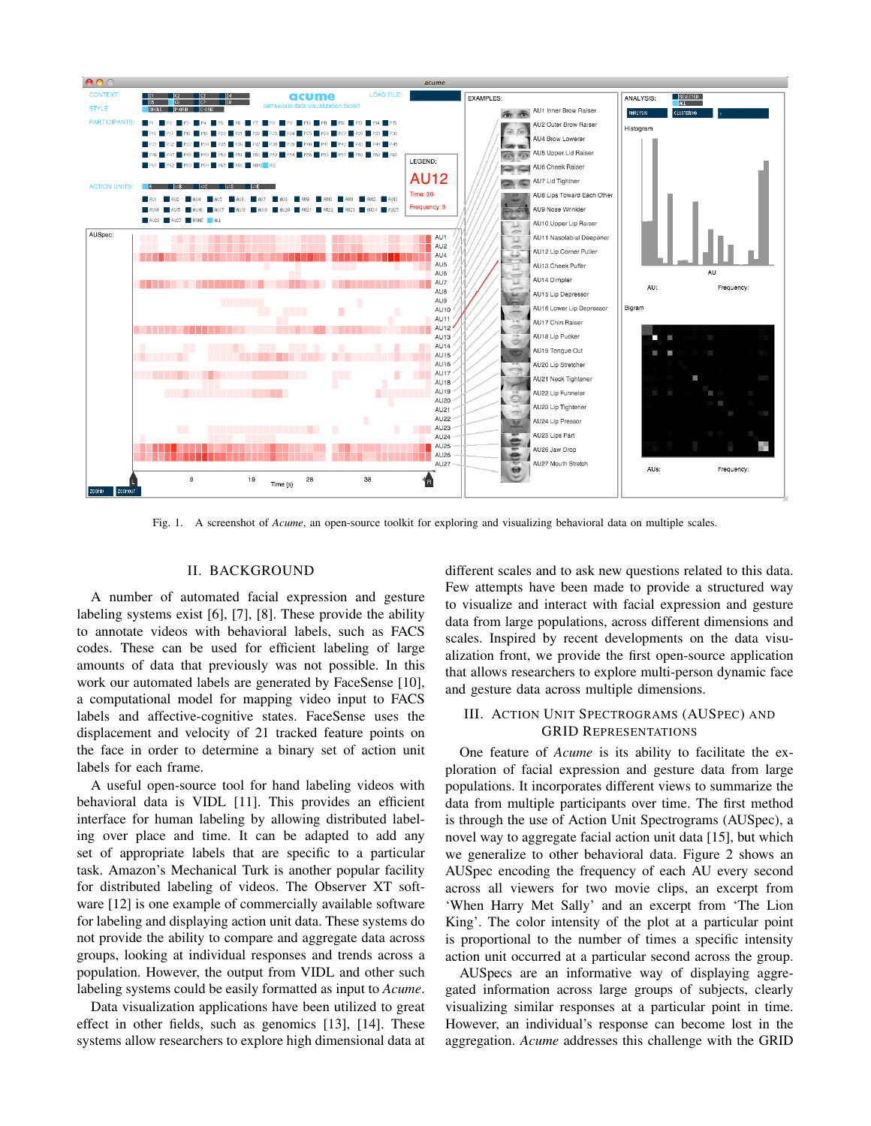

Fig. 1. A screenshot of *Acume*, an open-source toolkit for exploring and visualizing behavioral data on multiple scales.

#### II. BACKGROUND

A number of automated facial expression and gesture labeling systems exist [6], [7], [8]. These provide the ability to annotate videos with behavioral labels, such as FACS codes. These can be used for efficient labeling of large amounts of data that previously was not possible. In this work our automated labels are generated by FaceSense [10], a computational model for mapping video input to FACS labels and affective-cognitive states. FaceSense uses the displacement and velocity of 21 tracked feature points on the face in order to determine a binary set of action unit labels for each frame.

A useful open-source tool for hand labeling videos with behavioral data is VIDL [11]. This provides an efficient interface for human labeling by allowing distributed labeling over place and time. It can be adapted to add any set of appropriate labels that are specific to a particular task. Amazon's Mechanical Turk is another popular facility for distributed labeling of videos. The Observer XT software [12] is one example of commercially available software for labeling and displaying action unit data. These systems do not provide the ability to compare and aggregate data across groups, looking at individual responses and trends across a population. However, the output from VIDL and other such labeling systems could be easily formatted as input to *Acume*.

Data visualization applications have been utilized to great effect in other fields, such as genomics [13], [14]. These systems allow researchers to explore high dimensional data at

different scales and to ask new questions related to this data. Few attempts have been made to provide a structured way to visualize and interact with facial expression and gesture data from large populations, across different dimensions and scales. Inspired by recent developments on the data visualization front, we provide the first open-source application that allows researchers to explore multi-person dynamic face and gesture data across multiple dimensions.

# III. ACTION UNIT SPECTROGRAMS (AUSPEC) AND GRID REPRESENTATIONS

One feature of *Acume* is its ability to facilitate the exploration of facial expression and gesture data from large populations. It incorporates different views to summarize the data from multiple participants over time. The first method is through the use of Action Unit Spectrograms (AUSpec), a novel way to aggregate facial action unit data [15], but which we generalize to other behavioral data. Figure 2 shows an AUSpec encoding the frequency of each AU every second across all viewers for two movie clips, an excerpt from 'When Harry Met Sally' and an excerpt from 'The Lion King'. The color intensity of the plot at a particular point is proportional to the number of times a specific intensity action unit occurred at a particular second across the group.

AUSpecs are an informative way of displaying aggregated information across large groups of subjects, clearly visualizing similar responses at a particular point in time. However, an individual's response can become lost in the aggregation. *Acume* addresses this challenge with the GRID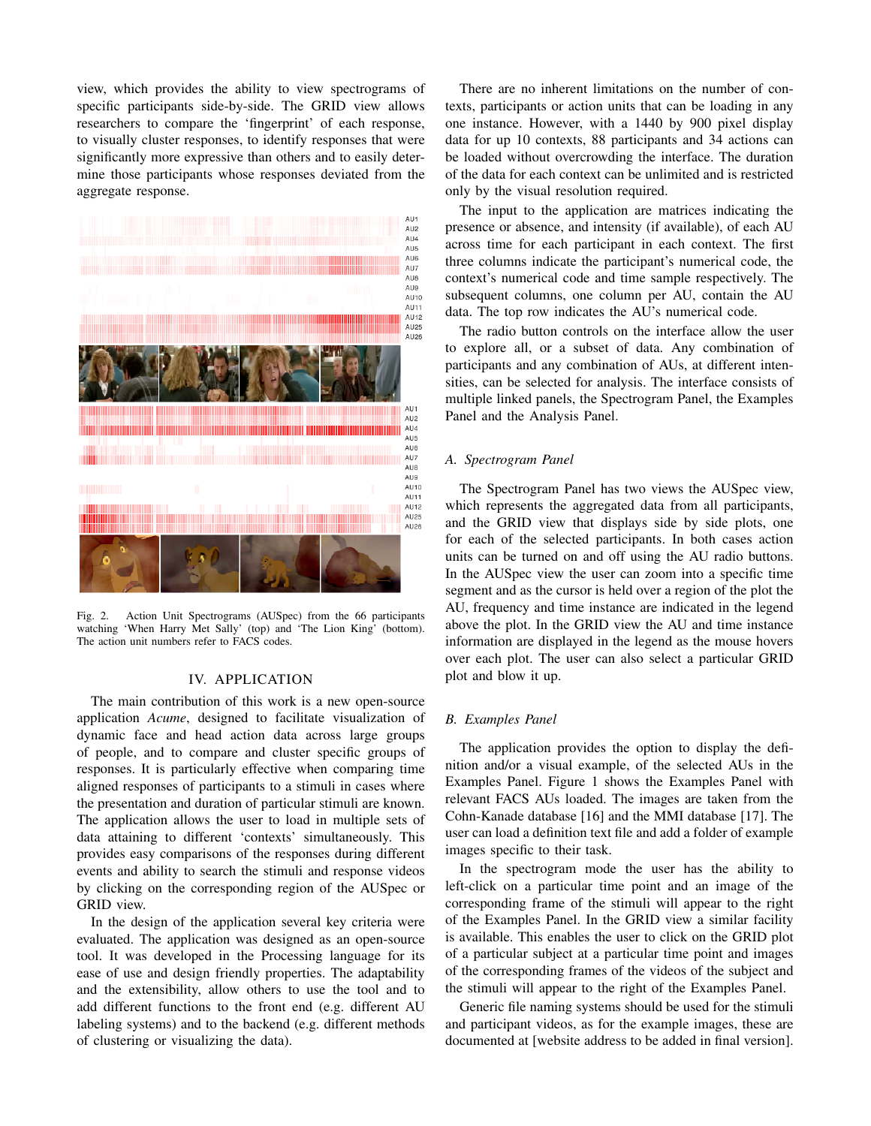view, which provides the ability to view spectrograms of specific participants side-by-side. The GRID view allows researchers to compare the 'fingerprint' of each response, to visually cluster responses, to identify responses that were significantly more expressive than others and to easily determine those participants whose responses deviated from the aggregate response.



Fig. 2. Action Unit Spectrograms (AUSpec) from the 66 participants watching 'When Harry Met Sally' (top) and 'The Lion King' (bottom). The action unit numbers refer to FACS codes.

# IV. APPLICATION

The main contribution of this work is a new open-source application *Acume*, designed to facilitate visualization of dynamic face and head action data across large groups of people, and to compare and cluster specific groups of responses. It is particularly effective when comparing time aligned responses of participants to a stimuli in cases where the presentation and duration of particular stimuli are known. The application allows the user to load in multiple sets of data attaining to different 'contexts' simultaneously. This provides easy comparisons of the responses during different events and ability to search the stimuli and response videos by clicking on the corresponding region of the AUSpec or GRID view.

In the design of the application several key criteria were evaluated. The application was designed as an open-source tool. It was developed in the Processing language for its ease of use and design friendly properties. The adaptability and the extensibility, allow others to use the tool and to add different functions to the front end (e.g. different AU labeling systems) and to the backend (e.g. different methods of clustering or visualizing the data).

There are no inherent limitations on the number of contexts, participants or action units that can be loading in any one instance. However, with a 1440 by 900 pixel display data for up 10 contexts, 88 participants and 34 actions can be loaded without overcrowding the interface. The duration of the data for each context can be unlimited and is restricted only by the visual resolution required.

The input to the application are matrices indicating the presence or absence, and intensity (if available), of each AU across time for each participant in each context. The first three columns indicate the participant's numerical code, the context's numerical code and time sample respectively. The subsequent columns, one column per AU, contain the AU data. The top row indicates the AU's numerical code.

The radio button controls on the interface allow the user to explore all, or a subset of data. Any combination of participants and any combination of AUs, at different intensities, can be selected for analysis. The interface consists of multiple linked panels, the Spectrogram Panel, the Examples Panel and the Analysis Panel.

## *A. Spectrogram Panel*

The Spectrogram Panel has two views the AUSpec view, which represents the aggregated data from all participants, and the GRID view that displays side by side plots, one for each of the selected participants. In both cases action units can be turned on and off using the AU radio buttons. In the AUSpec view the user can zoom into a specific time segment and as the cursor is held over a region of the plot the AU, frequency and time instance are indicated in the legend above the plot. In the GRID view the AU and time instance information are displayed in the legend as the mouse hovers over each plot. The user can also select a particular GRID plot and blow it up.

#### *B. Examples Panel*

The application provides the option to display the definition and/or a visual example, of the selected AUs in the Examples Panel. Figure 1 shows the Examples Panel with relevant FACS AUs loaded. The images are taken from the Cohn-Kanade database [16] and the MMI database [17]. The user can load a definition text file and add a folder of example images specific to their task.

In the spectrogram mode the user has the ability to left-click on a particular time point and an image of the corresponding frame of the stimuli will appear to the right of the Examples Panel. In the GRID view a similar facility is available. This enables the user to click on the GRID plot of a particular subject at a particular time point and images of the corresponding frames of the videos of the subject and the stimuli will appear to the right of the Examples Panel.

Generic file naming systems should be used for the stimuli and participant videos, as for the example images, these are documented at [website address to be added in final version].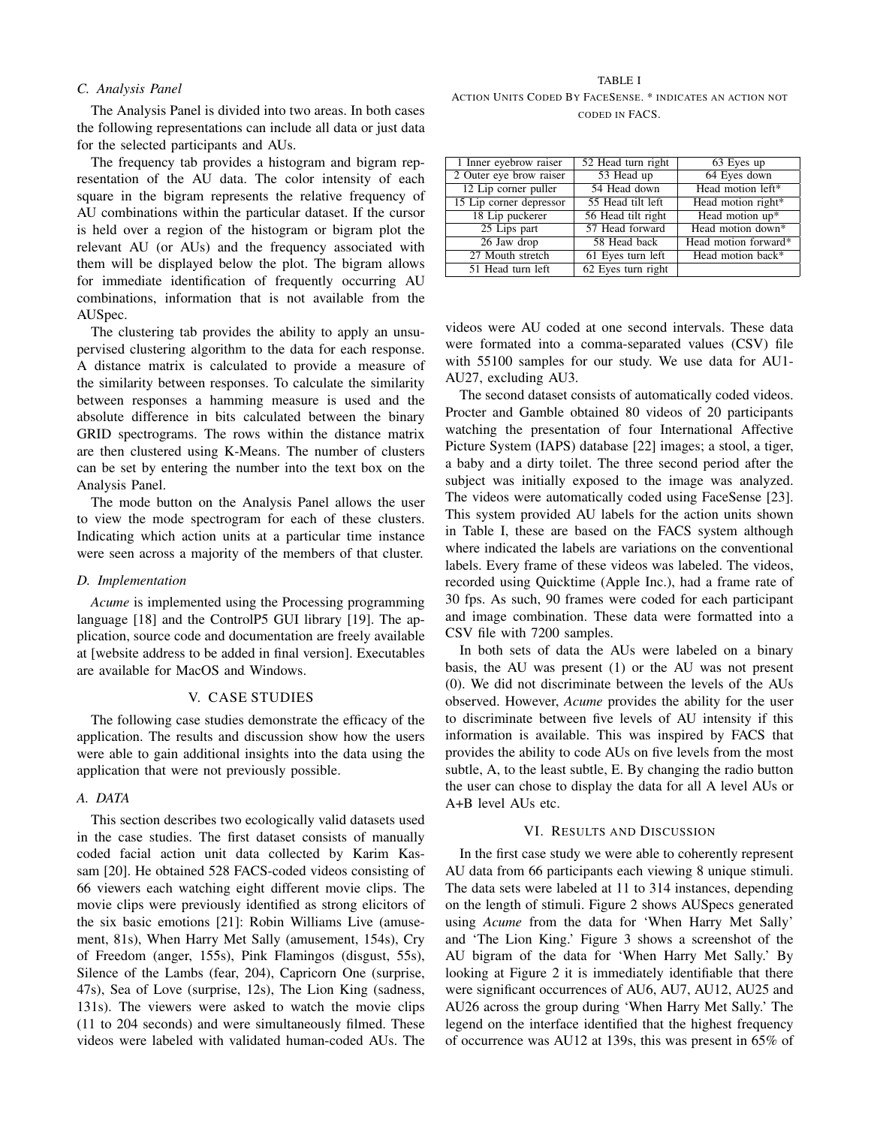#### *C. Analysis Panel*

The Analysis Panel is divided into two areas. In both cases the following representations can include all data or just data for the selected participants and AUs.

The frequency tab provides a histogram and bigram representation of the AU data. The color intensity of each square in the bigram represents the relative frequency of AU combinations within the particular dataset. If the cursor is held over a region of the histogram or bigram plot the relevant AU (or AUs) and the frequency associated with them will be displayed below the plot. The bigram allows for immediate identification of frequently occurring AU combinations, information that is not available from the AUSpec.

The clustering tab provides the ability to apply an unsupervised clustering algorithm to the data for each response. A distance matrix is calculated to provide a measure of the similarity between responses. To calculate the similarity between responses a hamming measure is used and the absolute difference in bits calculated between the binary GRID spectrograms. The rows within the distance matrix are then clustered using K-Means. The number of clusters can be set by entering the number into the text box on the Analysis Panel.

The mode button on the Analysis Panel allows the user to view the mode spectrogram for each of these clusters. Indicating which action units at a particular time instance were seen across a majority of the members of that cluster.

#### *D. Implementation*

*Acume* is implemented using the Processing programming language [18] and the ControlP5 GUI library [19]. The application, source code and documentation are freely available at [website address to be added in final version]. Executables are available for MacOS and Windows.

#### V. CASE STUDIES

The following case studies demonstrate the efficacy of the application. The results and discussion show how the users were able to gain additional insights into the data using the application that were not previously possible.

# *A. DATA*

This section describes two ecologically valid datasets used in the case studies. The first dataset consists of manually coded facial action unit data collected by Karim Kassam [20]. He obtained 528 FACS-coded videos consisting of 66 viewers each watching eight different movie clips. The movie clips were previously identified as strong elicitors of the six basic emotions [21]: Robin Williams Live (amusement, 81s), When Harry Met Sally (amusement, 154s), Cry of Freedom (anger, 155s), Pink Flamingos (disgust, 55s), Silence of the Lambs (fear, 204), Capricorn One (surprise, 47s), Sea of Love (surprise, 12s), The Lion King (sadness, 131s). The viewers were asked to watch the movie clips (11 to 204 seconds) and were simultaneously filmed. These videos were labeled with validated human-coded AUs. The

TABLE I ACTION UNITS CODED BY FACESENSE. \* INDICATES AN ACTION NOT CODED IN FACS.

| 1 Inner eyebrow raiser  | 52 Head turn right  | 63 Eyes up           |
|-------------------------|---------------------|----------------------|
| 2 Outer eye brow raiser | 53 Head up          | 64 Eyes down         |
| 12 Lip corner puller    | 54 Head down        | Head motion left*    |
| 15 Lip corner depressor | 55 Head tilt left   | Head motion right*   |
| 18 Lip puckerer         | 56 Head tilt right  | Head motion up*      |
| 25 Lips part            | 57 Head forward     | Head motion down*    |
| 26 Jaw drop             | 58 Head back        | Head motion forward* |
| 27 Mouth stretch        | $61$ Eyes turn left | Head motion back*    |
| 51 Head turn left       | 62 Eyes turn right  |                      |

videos were AU coded at one second intervals. These data were formated into a comma-separated values (CSV) file with 55100 samples for our study. We use data for AU1- AU27, excluding AU3.

The second dataset consists of automatically coded videos. Procter and Gamble obtained 80 videos of 20 participants watching the presentation of four International Affective Picture System (IAPS) database [22] images; a stool, a tiger, a baby and a dirty toilet. The three second period after the subject was initially exposed to the image was analyzed. The videos were automatically coded using FaceSense [23]. This system provided AU labels for the action units shown in Table I, these are based on the FACS system although where indicated the labels are variations on the conventional labels. Every frame of these videos was labeled. The videos, recorded using Quicktime (Apple Inc.), had a frame rate of 30 fps. As such, 90 frames were coded for each participant and image combination. These data were formatted into a CSV file with 7200 samples.

In both sets of data the AUs were labeled on a binary basis, the AU was present (1) or the AU was not present (0). We did not discriminate between the levels of the AUs observed. However, *Acume* provides the ability for the user to discriminate between five levels of AU intensity if this information is available. This was inspired by FACS that provides the ability to code AUs on five levels from the most subtle, A, to the least subtle, E. By changing the radio button the user can chose to display the data for all A level AUs or A+B level AUs etc.

#### VI. RESULTS AND DISCUSSION

In the first case study we were able to coherently represent AU data from 66 participants each viewing 8 unique stimuli. The data sets were labeled at 11 to 314 instances, depending on the length of stimuli. Figure 2 shows AUSpecs generated using *Acume* from the data for 'When Harry Met Sally' and 'The Lion King.' Figure 3 shows a screenshot of the AU bigram of the data for 'When Harry Met Sally.' By looking at Figure 2 it is immediately identifiable that there were significant occurrences of AU6, AU7, AU12, AU25 and AU26 across the group during 'When Harry Met Sally.' The legend on the interface identified that the highest frequency of occurrence was AU12 at 139s, this was present in 65% of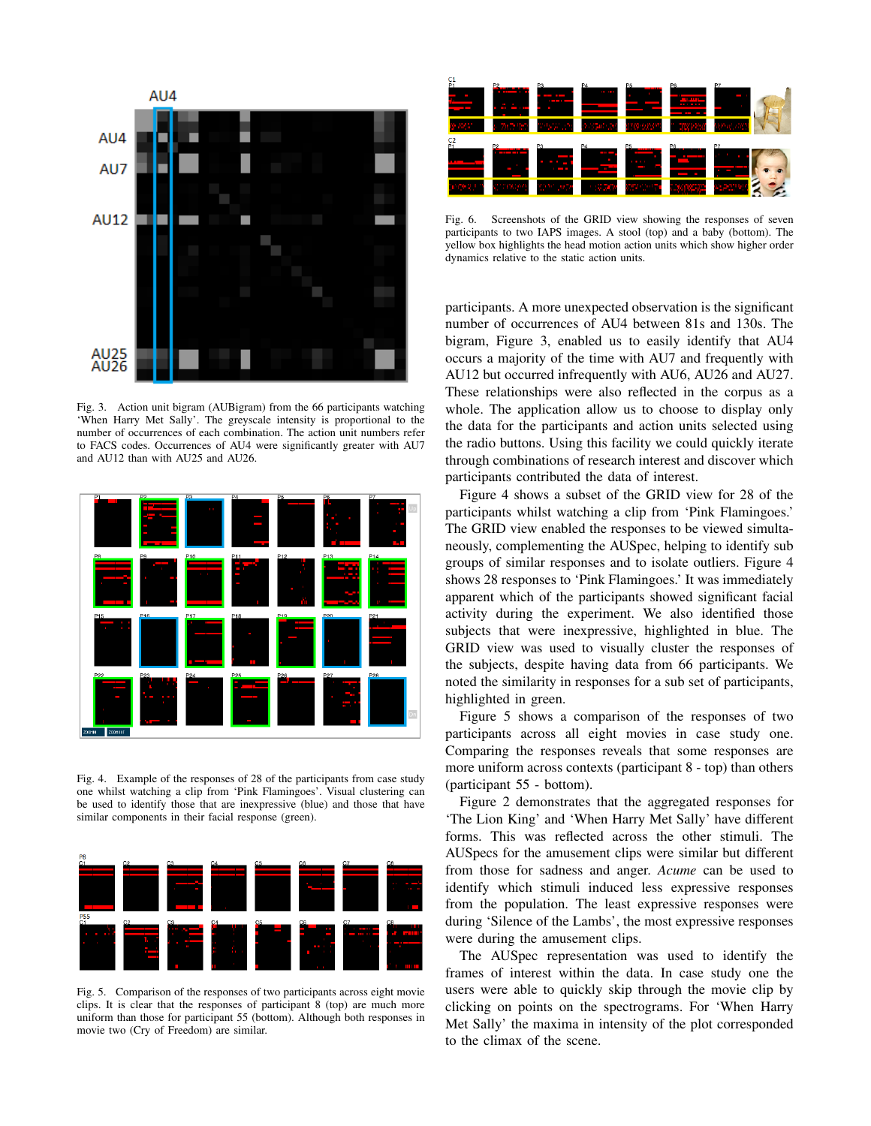

Fig. 3. Action unit bigram (AUBigram) from the 66 participants watching 'When Harry Met Sally'. The greyscale intensity is proportional to the number of occurrences of each combination. The action unit numbers refer to FACS codes. Occurrences of AU4 were significantly greater with AU7 and AU12 than with AU25 and AU26.



Fig. 4. Example of the responses of 28 of the participants from case study one whilst watching a clip from 'Pink Flamingoes'. Visual clustering can be used to identify those that are inexpressive (blue) and those that have similar components in their facial response (green).



Fig. 5. Comparison of the responses of two participants across eight movie clips. It is clear that the responses of participant 8 (top) are much more uniform than those for participant 55 (bottom). Although both responses in movie two (Cry of Freedom) are similar.



Fig. 6. Screenshots of the GRID view showing the responses of seven participants to two IAPS images. A stool (top) and a baby (bottom). The yellow box highlights the head motion action units which show higher order dynamics relative to the static action units.

participants. A more unexpected observation is the significant number of occurrences of AU4 between 81s and 130s. The bigram, Figure 3, enabled us to easily identify that AU4 occurs a majority of the time with AU7 and frequently with AU12 but occurred infrequently with AU6, AU26 and AU27. These relationships were also reflected in the corpus as a whole. The application allow us to choose to display only the data for the participants and action units selected using the radio buttons. Using this facility we could quickly iterate through combinations of research interest and discover which participants contributed the data of interest.

Figure 4 shows a subset of the GRID view for 28 of the participants whilst watching a clip from 'Pink Flamingoes.' The GRID view enabled the responses to be viewed simultaneously, complementing the AUSpec, helping to identify sub groups of similar responses and to isolate outliers. Figure 4 shows 28 responses to 'Pink Flamingoes.' It was immediately apparent which of the participants showed significant facial activity during the experiment. We also identified those subjects that were inexpressive, highlighted in blue. The GRID view was used to visually cluster the responses of the subjects, despite having data from 66 participants. We noted the similarity in responses for a sub set of participants, highlighted in green.

Figure 5 shows a comparison of the responses of two participants across all eight movies in case study one. Comparing the responses reveals that some responses are more uniform across contexts (participant 8 - top) than others (participant 55 - bottom).

Figure 2 demonstrates that the aggregated responses for 'The Lion King' and 'When Harry Met Sally' have different forms. This was reflected across the other stimuli. The AUSpecs for the amusement clips were similar but different from those for sadness and anger. *Acume* can be used to identify which stimuli induced less expressive responses from the population. The least expressive responses were during 'Silence of the Lambs', the most expressive responses were during the amusement clips.

The AUSpec representation was used to identify the frames of interest within the data. In case study one the users were able to quickly skip through the movie clip by clicking on points on the spectrograms. For 'When Harry Met Sally' the maxima in intensity of the plot corresponded to the climax of the scene.